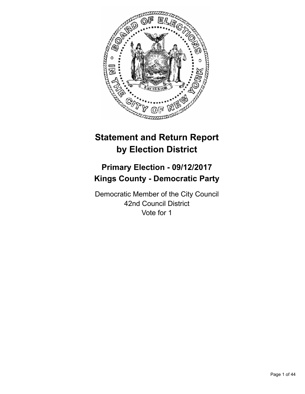

# **Statement and Return Report by Election District**

# **Primary Election - 09/12/2017 Kings County - Democratic Party**

Democratic Member of the City Council 42nd Council District Vote for 1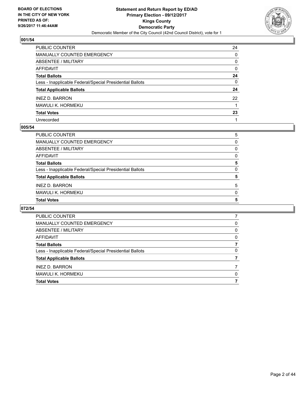

| PUBLIC COUNTER                                           | 24 |
|----------------------------------------------------------|----|
| MANUALLY COUNTED EMERGENCY                               | 0  |
| <b>ABSENTEE / MILITARY</b>                               | 0  |
| <b>AFFIDAVIT</b>                                         | 0  |
| <b>Total Ballots</b>                                     | 24 |
| Less - Inapplicable Federal/Special Presidential Ballots | 0  |
| <b>Total Applicable Ballots</b>                          | 24 |
| <b>INEZ D. BARRON</b>                                    | 22 |
| MAWULI K. HORMEKU                                        |    |
| <b>Total Votes</b>                                       | 23 |
| Unrecorded                                               |    |

## **005/54**

| PUBLIC COUNTER                                           | 5        |
|----------------------------------------------------------|----------|
| MANUALLY COUNTED EMERGENCY                               | 0        |
| ABSENTEE / MILITARY                                      | 0        |
| AFFIDAVIT                                                | 0        |
| <b>Total Ballots</b>                                     | 5        |
| Less - Inapplicable Federal/Special Presidential Ballots | $\Omega$ |
| <b>Total Applicable Ballots</b>                          | 5        |
| <b>INEZ D. BARRON</b>                                    | 5        |
| MAWULI K. HORMEKU                                        | $\Omega$ |
| <b>Total Votes</b>                                       | 5        |
|                                                          |          |

| PUBLIC COUNTER                                           |   |
|----------------------------------------------------------|---|
| MANUALLY COUNTED EMERGENCY                               | 0 |
| ABSENTEE / MILITARY                                      | 0 |
| AFFIDAVIT                                                | 0 |
| <b>Total Ballots</b>                                     |   |
| Less - Inapplicable Federal/Special Presidential Ballots | 0 |
| <b>Total Applicable Ballots</b>                          |   |
| <b>INEZ D. BARRON</b>                                    |   |
| MAWULI K. HORMEKU                                        | 0 |
| <b>Total Votes</b>                                       |   |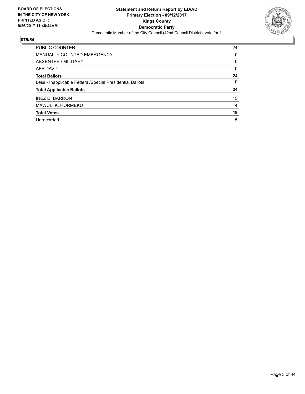

| <b>PUBLIC COUNTER</b>                                    | 24 |
|----------------------------------------------------------|----|
| <b>MANUALLY COUNTED EMERGENCY</b>                        | 0  |
| ABSENTEE / MILITARY                                      | 0  |
| AFFIDAVIT                                                | 0  |
| <b>Total Ballots</b>                                     | 24 |
| Less - Inapplicable Federal/Special Presidential Ballots | 0  |
| <b>Total Applicable Ballots</b>                          | 24 |
| <b>INEZ D. BARRON</b>                                    | 15 |
| MAWULI K. HORMEKU                                        | 4  |
| <b>Total Votes</b>                                       | 19 |
| Unrecorded                                               | 5  |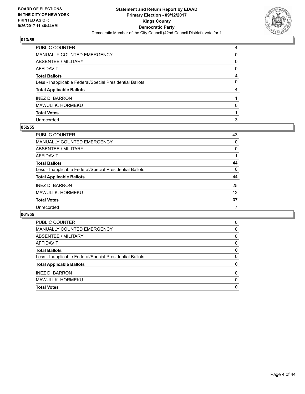

| PUBLIC COUNTER                                           | 4 |
|----------------------------------------------------------|---|
| MANUALLY COUNTED EMERGENCY                               | 0 |
| ABSENTEE / MILITARY                                      | 0 |
| AFFIDAVIT                                                | 0 |
| Total Ballots                                            | 4 |
| Less - Inapplicable Federal/Special Presidential Ballots | 0 |
| <b>Total Applicable Ballots</b>                          | 4 |
| <b>INEZ D. BARRON</b>                                    |   |
| MAWULI K. HORMEKU                                        | 0 |
| <b>Total Votes</b>                                       |   |
| Unrecorded                                               | 3 |

## **052/55**

| <b>PUBLIC COUNTER</b>                                    | 43 |
|----------------------------------------------------------|----|
| <b>MANUALLY COUNTED EMERGENCY</b>                        | 0  |
| ABSENTEE / MILITARY                                      | 0  |
| AFFIDAVIT                                                |    |
| <b>Total Ballots</b>                                     | 44 |
| Less - Inapplicable Federal/Special Presidential Ballots | 0  |
| <b>Total Applicable Ballots</b>                          | 44 |
| <b>INEZ D. BARRON</b>                                    | 25 |
| MAWULI K. HORMEKU                                        | 12 |
| <b>Total Votes</b>                                       | 37 |
| Unrecorded                                               | 7  |

| <b>PUBLIC COUNTER</b>                                    | 0 |
|----------------------------------------------------------|---|
| <b>MANUALLY COUNTED EMERGENCY</b>                        | 0 |
| ABSENTEE / MILITARY                                      | 0 |
| AFFIDAVIT                                                | 0 |
| <b>Total Ballots</b>                                     | 0 |
| Less - Inapplicable Federal/Special Presidential Ballots | 0 |
| <b>Total Applicable Ballots</b>                          | 0 |
| <b>INEZ D. BARRON</b>                                    | 0 |
| MAWULI K. HORMEKU                                        | 0 |
| <b>Total Votes</b>                                       | 0 |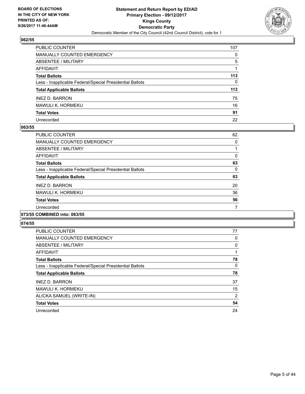

| PUBLIC COUNTER                                           | 107      |
|----------------------------------------------------------|----------|
| <b>MANUALLY COUNTED EMERGENCY</b>                        | $\Omega$ |
| <b>ABSENTEE / MILITARY</b>                               | 5        |
| <b>AFFIDAVIT</b>                                         |          |
| <b>Total Ballots</b>                                     | 113      |
| Less - Inapplicable Federal/Special Presidential Ballots | 0        |
| <b>Total Applicable Ballots</b>                          | 113      |
| <b>INEZ D. BARRON</b>                                    | 75       |
| MAWULI K. HORMEKU                                        | 16       |
| <b>Total Votes</b>                                       | 91       |
| Unrecorded                                               | 22       |

## **063/55**

| PUBLIC COUNTER                                           | 62 |
|----------------------------------------------------------|----|
| <b>MANUALLY COUNTED EMERGENCY</b>                        | 0  |
| ABSENTEE / MILITARY                                      |    |
| AFFIDAVIT                                                | 0  |
| <b>Total Ballots</b>                                     | 63 |
| Less - Inapplicable Federal/Special Presidential Ballots | 0  |
| <b>Total Applicable Ballots</b>                          | 63 |
| <b>INEZ D. BARRON</b>                                    | 20 |
| <b>MAWULI K. HORMEKU</b>                                 | 36 |
| <b>Total Votes</b>                                       | 56 |
| Unrecorded                                               |    |
|                                                          |    |

## **073/55 COMBINED into: 063/55**

| <b>PUBLIC COUNTER</b>                                    | 77             |
|----------------------------------------------------------|----------------|
| <b>MANUALLY COUNTED EMERGENCY</b>                        | 0              |
| ABSENTEE / MILITARY                                      | 0              |
| <b>AFFIDAVIT</b>                                         |                |
| <b>Total Ballots</b>                                     | 78             |
| Less - Inapplicable Federal/Special Presidential Ballots | 0              |
| <b>Total Applicable Ballots</b>                          | 78             |
| <b>INEZ D. BARRON</b>                                    | 37             |
| <b>MAWULI K. HORMEKU</b>                                 | 15             |
| ALICKA SAMUEL (WRITE-IN)                                 | $\overline{2}$ |
| <b>Total Votes</b>                                       | 54             |
| Unrecorded                                               | 24             |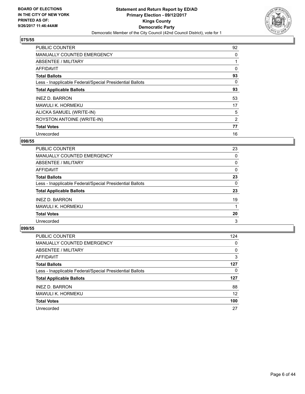

| <b>PUBLIC COUNTER</b>                                    | 92 |
|----------------------------------------------------------|----|
| <b>MANUALLY COUNTED EMERGENCY</b>                        | 0  |
| ABSENTEE / MILITARY                                      |    |
| AFFIDAVIT                                                | 0  |
| <b>Total Ballots</b>                                     | 93 |
| Less - Inapplicable Federal/Special Presidential Ballots | 0  |
| <b>Total Applicable Ballots</b>                          | 93 |
| <b>INEZ D. BARRON</b>                                    | 53 |
| <b>MAWULI K. HORMEKU</b>                                 | 17 |
| ALICKA SAMUEL (WRITE-IN)                                 | 5  |
| ROYSTON ANTOINE (WRITE-IN)                               | 2  |
| <b>Total Votes</b>                                       | 77 |
| Unrecorded                                               | 16 |

## **098/55**

| <b>PUBLIC COUNTER</b>                                    | 23 |
|----------------------------------------------------------|----|
| MANUALLY COUNTED EMERGENCY                               | 0  |
| ABSENTEE / MILITARY                                      | 0  |
| <b>AFFIDAVIT</b>                                         | 0  |
| <b>Total Ballots</b>                                     | 23 |
| Less - Inapplicable Federal/Special Presidential Ballots | 0  |
| <b>Total Applicable Ballots</b>                          | 23 |
| <b>INEZ D. BARRON</b>                                    | 19 |
| MAWULI K. HORMEKU                                        |    |
| <b>Total Votes</b>                                       | 20 |
| Unrecorded                                               | 3  |

| <b>PUBLIC COUNTER</b>                                    | 124 |
|----------------------------------------------------------|-----|
| <b>MANUALLY COUNTED EMERGENCY</b>                        | 0   |
| ABSENTEE / MILITARY                                      | 0   |
| AFFIDAVIT                                                | 3   |
| <b>Total Ballots</b>                                     | 127 |
| Less - Inapplicable Federal/Special Presidential Ballots | 0   |
| <b>Total Applicable Ballots</b>                          | 127 |
| <b>INEZ D. BARRON</b>                                    | 88  |
| MAWULI K. HORMEKU                                        | 12  |
| <b>Total Votes</b>                                       | 100 |
| Unrecorded                                               | 27  |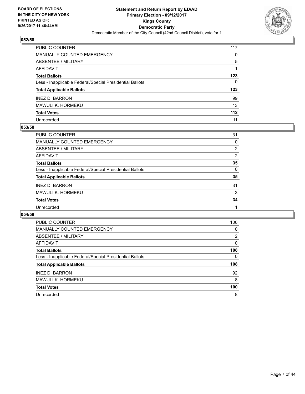

| PUBLIC COUNTER                                           | 117          |
|----------------------------------------------------------|--------------|
| <b>MANUALLY COUNTED EMERGENCY</b>                        | $\mathbf{0}$ |
| <b>ABSENTEE / MILITARY</b>                               | 5            |
| <b>AFFIDAVIT</b>                                         |              |
| <b>Total Ballots</b>                                     | 123          |
| Less - Inapplicable Federal/Special Presidential Ballots | $\mathbf{0}$ |
| <b>Total Applicable Ballots</b>                          | 123          |
| <b>INEZ D. BARRON</b>                                    | 99           |
| MAWULI K. HORMEKU                                        | 13           |
| <b>Total Votes</b>                                       | 112          |
| Unrecorded                                               | 11           |

## **053/58**

| <b>PUBLIC COUNTER</b>                                    | 31             |
|----------------------------------------------------------|----------------|
| MANUALLY COUNTED EMERGENCY                               | 0              |
| ABSENTEE / MILITARY                                      | $\overline{2}$ |
| AFFIDAVIT                                                | $\overline{2}$ |
| <b>Total Ballots</b>                                     | 35             |
| Less - Inapplicable Federal/Special Presidential Ballots | 0              |
| <b>Total Applicable Ballots</b>                          | 35             |
| <b>INEZ D. BARRON</b>                                    | 31             |
| MAWULI K. HORMEKU                                        | 3              |
| <b>Total Votes</b>                                       | 34             |
| Unrecorded                                               |                |
|                                                          |                |

| <b>PUBLIC COUNTER</b>                                    | 106 |
|----------------------------------------------------------|-----|
| MANUALLY COUNTED EMERGENCY                               | 0   |
| ABSENTEE / MILITARY                                      | 2   |
| AFFIDAVIT                                                | 0   |
| <b>Total Ballots</b>                                     | 108 |
| Less - Inapplicable Federal/Special Presidential Ballots | 0   |
| <b>Total Applicable Ballots</b>                          | 108 |
| <b>INEZ D. BARRON</b>                                    | 92  |
| MAWULI K. HORMEKU                                        | 8   |
| <b>Total Votes</b>                                       | 100 |
| Unrecorded                                               | 8   |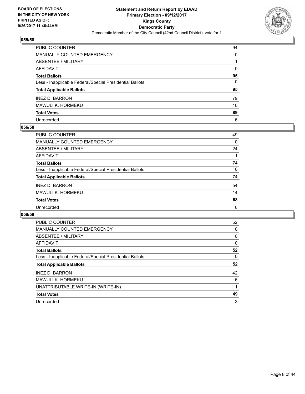

| PUBLIC COUNTER                                           | 94 |
|----------------------------------------------------------|----|
| MANUALLY COUNTED EMERGENCY                               | 0  |
| <b>ABSENTEE / MILITARY</b>                               |    |
| <b>AFFIDAVIT</b>                                         | 0  |
| <b>Total Ballots</b>                                     | 95 |
| Less - Inapplicable Federal/Special Presidential Ballots | 0  |
| <b>Total Applicable Ballots</b>                          | 95 |
| <b>INEZ D. BARRON</b>                                    | 79 |
| MAWULI K. HORMEKU                                        | 10 |
| <b>Total Votes</b>                                       | 89 |
| Unrecorded                                               | 6  |

## **056/58**

| <b>PUBLIC COUNTER</b>                                    | 49 |
|----------------------------------------------------------|----|
| <b>MANUALLY COUNTED EMERGENCY</b>                        | 0  |
| ABSENTEE / MILITARY                                      | 24 |
| AFFIDAVIT                                                |    |
| <b>Total Ballots</b>                                     | 74 |
| Less - Inapplicable Federal/Special Presidential Ballots | 0  |
| <b>Total Applicable Ballots</b>                          | 74 |
| <b>INEZ D. BARRON</b>                                    | 54 |
| MAWULI K. HORMEKU                                        | 14 |
| <b>Total Votes</b>                                       | 68 |
| Unrecorded                                               | 6  |

| <b>PUBLIC COUNTER</b>                                    | 52 |
|----------------------------------------------------------|----|
| MANUALLY COUNTED EMERGENCY                               | 0  |
| ABSENTEE / MILITARY                                      | 0  |
| AFFIDAVIT                                                | 0  |
| <b>Total Ballots</b>                                     | 52 |
| Less - Inapplicable Federal/Special Presidential Ballots | 0  |
|                                                          |    |
| <b>Total Applicable Ballots</b>                          | 52 |
| <b>INEZ D. BARRON</b>                                    | 42 |
| MAWULI K. HORMEKU                                        | 6  |
| UNATTRIBUTABLE WRITE-IN (WRITE-IN)                       |    |
| <b>Total Votes</b>                                       | 49 |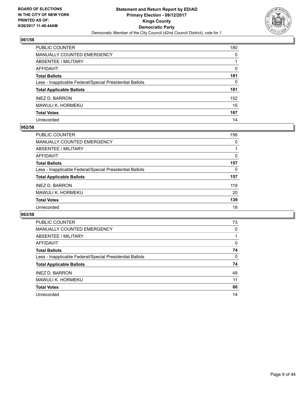

| PUBLIC COUNTER                                           | 180 |
|----------------------------------------------------------|-----|
| <b>MANUALLY COUNTED EMERGENCY</b>                        | 0   |
| <b>ABSENTEE / MILITARY</b>                               |     |
| <b>AFFIDAVIT</b>                                         | 0   |
| <b>Total Ballots</b>                                     | 181 |
| Less - Inapplicable Federal/Special Presidential Ballots | 0   |
| <b>Total Applicable Ballots</b>                          | 181 |
| <b>INEZ D. BARRON</b>                                    | 152 |
| <b>MAWULI K. HORMEKU</b>                                 | 15  |
| <b>Total Votes</b>                                       | 167 |
| Unrecorded                                               | 14  |

## **062/58**

| <b>PUBLIC COUNTER</b>                                    | 156 |
|----------------------------------------------------------|-----|
| MANUALLY COUNTED EMERGENCY                               | 0   |
| ABSENTEE / MILITARY                                      |     |
| AFFIDAVIT                                                | 0   |
| <b>Total Ballots</b>                                     | 157 |
| Less - Inapplicable Federal/Special Presidential Ballots | 0   |
| <b>Total Applicable Ballots</b>                          | 157 |
| <b>INEZ D. BARRON</b>                                    | 119 |
| MAWULI K. HORMEKU                                        | 20  |
| <b>Total Votes</b>                                       | 139 |
| Unrecorded                                               | 18  |

| <b>PUBLIC COUNTER</b>                                    | 73 |
|----------------------------------------------------------|----|
| <b>MANUALLY COUNTED EMERGENCY</b>                        | 0  |
| ABSENTEE / MILITARY                                      |    |
| AFFIDAVIT                                                | 0  |
| <b>Total Ballots</b>                                     | 74 |
| Less - Inapplicable Federal/Special Presidential Ballots | 0  |
| <b>Total Applicable Ballots</b>                          | 74 |
| <b>INEZ D. BARRON</b>                                    | 49 |
| MAWULI K. HORMEKU                                        | 11 |
| <b>Total Votes</b>                                       | 60 |
| Unrecorded                                               | 14 |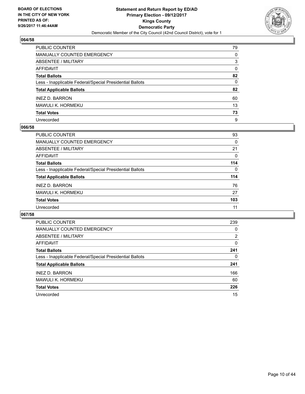

| PUBLIC COUNTER                                           | 79 |
|----------------------------------------------------------|----|
| <b>MANUALLY COUNTED EMERGENCY</b>                        | 0  |
| <b>ABSENTEE / MILITARY</b>                               | 3  |
| AFFIDAVIT                                                | 0  |
| <b>Total Ballots</b>                                     | 82 |
| Less - Inapplicable Federal/Special Presidential Ballots | 0  |
| <b>Total Applicable Ballots</b>                          | 82 |
| <b>INEZ D. BARRON</b>                                    | 60 |
| MAWULI K. HORMEKU                                        | 13 |
| <b>Total Votes</b>                                       | 73 |
| Unrecorded                                               | 9  |

## **066/58**

| <b>PUBLIC COUNTER</b>                                    | 93       |
|----------------------------------------------------------|----------|
| <b>MANUALLY COUNTED EMERGENCY</b>                        | 0        |
| ABSENTEE / MILITARY                                      | 21       |
| AFFIDAVIT                                                | 0        |
| <b>Total Ballots</b>                                     | 114      |
| Less - Inapplicable Federal/Special Presidential Ballots | $\Omega$ |
| <b>Total Applicable Ballots</b>                          | 114      |
| <b>INEZ D. BARRON</b>                                    | 76       |
| MAWULI K. HORMEKU                                        | 27       |
| <b>Total Votes</b>                                       | 103      |
| Unrecorded                                               | 11       |

| PUBLIC COUNTER                                           | 239            |
|----------------------------------------------------------|----------------|
| <b>MANUALLY COUNTED EMERGENCY</b>                        | 0              |
| ABSENTEE / MILITARY                                      | $\overline{2}$ |
| AFFIDAVIT                                                | 0              |
| <b>Total Ballots</b>                                     | 241            |
| Less - Inapplicable Federal/Special Presidential Ballots | 0              |
| <b>Total Applicable Ballots</b>                          | 241            |
| <b>INEZ D. BARRON</b>                                    | 166            |
| <b>MAWULI K. HORMEKU</b>                                 | 60             |
| <b>Total Votes</b>                                       | 226            |
| Unrecorded                                               | 15             |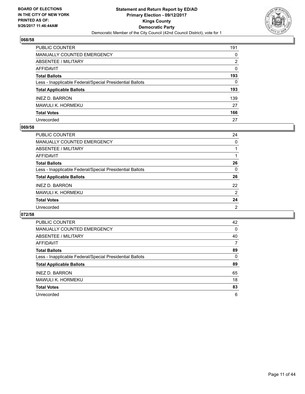

| PUBLIC COUNTER                                           | 191          |
|----------------------------------------------------------|--------------|
| <b>MANUALLY COUNTED EMERGENCY</b>                        | 0            |
| <b>ABSENTEE / MILITARY</b>                               | 2            |
| AFFIDAVIT                                                | 0            |
| <b>Total Ballots</b>                                     | 193          |
| Less - Inapplicable Federal/Special Presidential Ballots | $\mathbf{0}$ |
| <b>Total Applicable Ballots</b>                          | 193          |
| <b>INEZ D. BARRON</b>                                    | 139          |
| <b>MAWULI K. HORMEKU</b>                                 | 27           |
| <b>Total Votes</b>                                       | 166          |
| Unrecorded                                               | 27           |

## **069/58**

| PUBLIC COUNTER                                           | 24             |
|----------------------------------------------------------|----------------|
| MANUALLY COUNTED EMERGENCY                               | 0              |
| ABSENTEE / MILITARY                                      |                |
| AFFIDAVIT                                                |                |
| <b>Total Ballots</b>                                     | 26             |
| Less - Inapplicable Federal/Special Presidential Ballots | 0              |
| <b>Total Applicable Ballots</b>                          | 26             |
| <b>INEZ D. BARRON</b>                                    | 22             |
| MAWULI K. HORMEKU                                        | $\overline{2}$ |
| <b>Total Votes</b>                                       | 24             |
| Unrecorded                                               | 2              |

| <b>PUBLIC COUNTER</b>                                    | 42 |
|----------------------------------------------------------|----|
| <b>MANUALLY COUNTED EMERGENCY</b>                        | 0  |
| ABSENTEE / MILITARY                                      | 40 |
| AFFIDAVIT                                                | 7  |
| <b>Total Ballots</b>                                     | 89 |
| Less - Inapplicable Federal/Special Presidential Ballots | 0  |
| <b>Total Applicable Ballots</b>                          | 89 |
| <b>INEZ D. BARRON</b>                                    | 65 |
| MAWULI K. HORMEKU                                        | 18 |
| <b>Total Votes</b>                                       | 83 |
| Unrecorded                                               | 6  |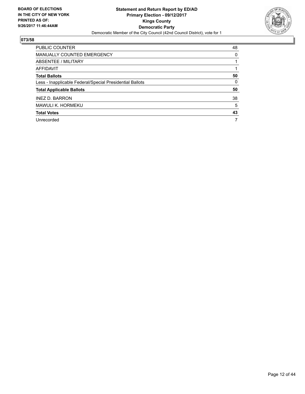

| <b>PUBLIC COUNTER</b>                                    | 48 |
|----------------------------------------------------------|----|
| <b>MANUALLY COUNTED EMERGENCY</b>                        | 0  |
| ABSENTEE / MILITARY                                      |    |
| AFFIDAVIT                                                |    |
| <b>Total Ballots</b>                                     | 50 |
| Less - Inapplicable Federal/Special Presidential Ballots | 0  |
| <b>Total Applicable Ballots</b>                          | 50 |
| <b>INEZ D. BARRON</b>                                    | 38 |
| MAWULI K. HORMEKU                                        | 5  |
| <b>Total Votes</b>                                       | 43 |
| Unrecorded                                               | 7  |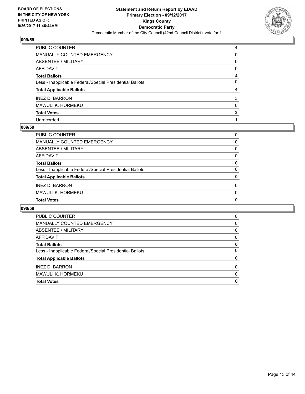

| PUBLIC COUNTER                                           | 4 |
|----------------------------------------------------------|---|
| <b>MANUALLY COUNTED EMERGENCY</b>                        | 0 |
| <b>ABSENTEE / MILITARY</b>                               | 0 |
| <b>AFFIDAVIT</b>                                         | 0 |
| <b>Total Ballots</b>                                     | 4 |
| Less - Inapplicable Federal/Special Presidential Ballots | 0 |
| <b>Total Applicable Ballots</b>                          | 4 |
| <b>INEZ D. BARRON</b>                                    | 3 |
| <b>MAWULI K. HORMEKU</b>                                 | 0 |
| <b>Total Votes</b>                                       | 3 |
| Unrecorded                                               |   |

## **089/59**

| <b>PUBLIC COUNTER</b>                                    | 0        |
|----------------------------------------------------------|----------|
| MANUALLY COUNTED EMERGENCY                               | 0        |
| ABSENTEE / MILITARY                                      | 0        |
| AFFIDAVIT                                                | 0        |
| <b>Total Ballots</b>                                     | 0        |
| Less - Inapplicable Federal/Special Presidential Ballots | 0        |
| <b>Total Applicable Ballots</b>                          | 0        |
| <b>INEZ D. BARRON</b>                                    | 0        |
| MAWULI K. HORMEKU                                        | $\Omega$ |
| <b>Total Votes</b>                                       | 0        |
|                                                          |          |

| <b>PUBLIC COUNTER</b>                                    | 0 |
|----------------------------------------------------------|---|
| <b>MANUALLY COUNTED EMERGENCY</b>                        | 0 |
| ABSENTEE / MILITARY                                      | 0 |
| AFFIDAVIT                                                | 0 |
| <b>Total Ballots</b>                                     | 0 |
| Less - Inapplicable Federal/Special Presidential Ballots | 0 |
| <b>Total Applicable Ballots</b>                          | 0 |
| <b>INEZ D. BARRON</b>                                    | 0 |
| <b>MAWULI K. HORMEKU</b>                                 | 0 |
| <b>Total Votes</b>                                       | 0 |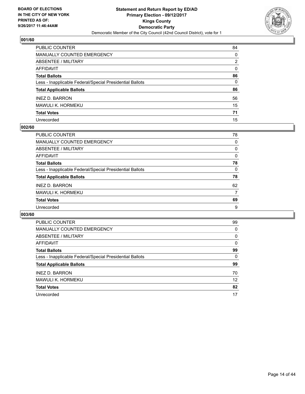

| PUBLIC COUNTER                                           | 84           |
|----------------------------------------------------------|--------------|
| MANUALLY COUNTED EMERGENCY                               | $\mathbf{0}$ |
| ABSENTEE / MILITARY                                      | 2            |
| AFFIDAVIT                                                | $\mathbf{0}$ |
| Total Ballots                                            | 86           |
| Less - Inapplicable Federal/Special Presidential Ballots | $\mathbf{0}$ |
| <b>Total Applicable Ballots</b>                          | 86           |
| <b>INEZ D. BARRON</b>                                    | 56           |
| MAWULI K. HORMEKU                                        | 15           |
| <b>Total Votes</b>                                       | 71           |
| Unrecorded                                               | 15           |

## **002/60**

| <b>PUBLIC COUNTER</b>                                    | 78 |
|----------------------------------------------------------|----|
| MANUALLY COUNTED EMERGENCY                               | 0  |
| ABSENTEE / MILITARY                                      | 0  |
| AFFIDAVIT                                                | 0  |
| <b>Total Ballots</b>                                     | 78 |
| Less - Inapplicable Federal/Special Presidential Ballots | 0  |
| <b>Total Applicable Ballots</b>                          | 78 |
| <b>INEZ D. BARRON</b>                                    | 62 |
| MAWULI K. HORMEKU                                        | 7  |
| <b>Total Votes</b>                                       | 69 |
| Unrecorded                                               | 9  |

| <b>PUBLIC COUNTER</b>                                    | 99 |
|----------------------------------------------------------|----|
| <b>MANUALLY COUNTED EMERGENCY</b>                        | 0  |
| ABSENTEE / MILITARY                                      | 0  |
| <b>AFFIDAVIT</b>                                         | 0  |
| <b>Total Ballots</b>                                     | 99 |
| Less - Inapplicable Federal/Special Presidential Ballots | 0  |
| <b>Total Applicable Ballots</b>                          | 99 |
| <b>INEZ D. BARRON</b>                                    | 70 |
| MAWULI K. HORMEKU                                        | 12 |
| <b>Total Votes</b>                                       | 82 |
| Unrecorded                                               | 17 |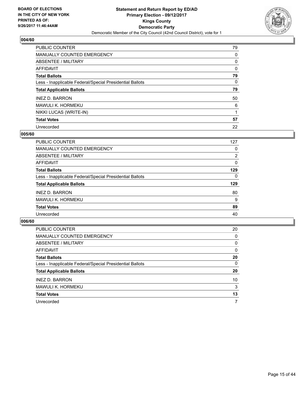

| PUBLIC COUNTER                                           | 79 |
|----------------------------------------------------------|----|
| <b>MANUALLY COUNTED EMERGENCY</b>                        | 0  |
| ABSENTEE / MILITARY                                      | 0  |
| AFFIDAVIT                                                | 0  |
| <b>Total Ballots</b>                                     | 79 |
| Less - Inapplicable Federal/Special Presidential Ballots | 0  |
| <b>Total Applicable Ballots</b>                          | 79 |
| <b>INEZ D. BARRON</b>                                    | 50 |
| MAWULI K. HORMEKU                                        | 6  |
| NIKKI LUCAS (WRITE-IN)                                   |    |
| <b>Total Votes</b>                                       | 57 |
| Unrecorded                                               | 22 |

## **005/60**

| PUBLIC COUNTER                                           | 127            |
|----------------------------------------------------------|----------------|
| <b>MANUALLY COUNTED EMERGENCY</b>                        | 0              |
| ABSENTEE / MILITARY                                      | $\overline{2}$ |
| AFFIDAVIT                                                | 0              |
| <b>Total Ballots</b>                                     | 129            |
| Less - Inapplicable Federal/Special Presidential Ballots | 0              |
| <b>Total Applicable Ballots</b>                          | 129            |
| <b>INEZ D. BARRON</b>                                    | 80             |
| MAWULI K. HORMEKU                                        | 9              |
| <b>Total Votes</b>                                       | 89             |
| Unrecorded                                               | 40             |

| <b>PUBLIC COUNTER</b>                                    | 20 |
|----------------------------------------------------------|----|
| <b>MANUALLY COUNTED EMERGENCY</b>                        | 0  |
| ABSENTEE / MILITARY                                      | 0  |
| AFFIDAVIT                                                | 0  |
| <b>Total Ballots</b>                                     | 20 |
| Less - Inapplicable Federal/Special Presidential Ballots | 0  |
| <b>Total Applicable Ballots</b>                          | 20 |
| <b>INEZ D. BARRON</b>                                    | 10 |
| <b>MAWULI K. HORMEKU</b>                                 | 3  |
| <b>Total Votes</b>                                       | 13 |
| Unrecorded                                               | 7  |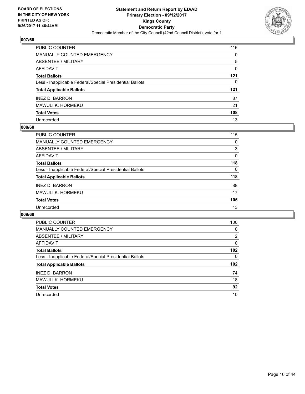

| PUBLIC COUNTER                                           | 116 |
|----------------------------------------------------------|-----|
| <b>MANUALLY COUNTED EMERGENCY</b>                        | 0   |
| <b>ABSENTEE / MILITARY</b>                               | 5   |
| <b>AFFIDAVIT</b>                                         | 0   |
| <b>Total Ballots</b>                                     | 121 |
| Less - Inapplicable Federal/Special Presidential Ballots | 0   |
| <b>Total Applicable Ballots</b>                          | 121 |
| <b>INEZ D. BARRON</b>                                    | 87  |
| <b>MAWULI K. HORMEKU</b>                                 | 21  |
| <b>Total Votes</b>                                       | 108 |
| Unrecorded                                               | 13  |

## **008/60**

| PUBLIC COUNTER                                           | 115      |
|----------------------------------------------------------|----------|
| <b>MANUALLY COUNTED EMERGENCY</b>                        | 0        |
| ABSENTEE / MILITARY                                      | 3        |
| AFFIDAVIT                                                | $\Omega$ |
| <b>Total Ballots</b>                                     | 118      |
| Less - Inapplicable Federal/Special Presidential Ballots | $\Omega$ |
| <b>Total Applicable Ballots</b>                          | 118      |
| <b>INEZ D. BARRON</b>                                    | 88       |
| MAWULI K. HORMEKU                                        | 17       |
| <b>Total Votes</b>                                       | 105      |
| Unrecorded                                               | 13       |

| <b>PUBLIC COUNTER</b>                                    | 100 |
|----------------------------------------------------------|-----|
| <b>MANUALLY COUNTED EMERGENCY</b>                        | 0   |
| ABSENTEE / MILITARY                                      | 2   |
| <b>AFFIDAVIT</b>                                         | 0   |
| <b>Total Ballots</b>                                     | 102 |
| Less - Inapplicable Federal/Special Presidential Ballots | 0   |
| <b>Total Applicable Ballots</b>                          | 102 |
| <b>INEZ D. BARRON</b>                                    | 74  |
| MAWULI K. HORMEKU                                        | 18  |
| <b>Total Votes</b>                                       | 92  |
| Unrecorded                                               | 10  |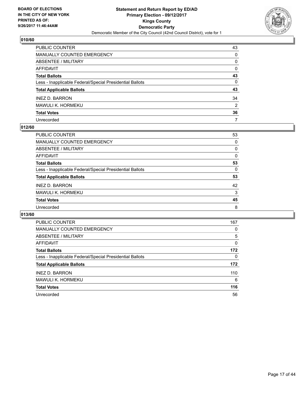

| PUBLIC COUNTER                                           | 43 |
|----------------------------------------------------------|----|
| <b>MANUALLY COUNTED EMERGENCY</b>                        | 0  |
| <b>ABSENTEE / MILITARY</b>                               | 0  |
| AFFIDAVIT                                                | 0  |
| <b>Total Ballots</b>                                     | 43 |
| Less - Inapplicable Federal/Special Presidential Ballots | 0  |
| <b>Total Applicable Ballots</b>                          | 43 |
| <b>INEZ D. BARRON</b>                                    | 34 |
| MAWULI K. HORMEKU                                        | 2  |
| <b>Total Votes</b>                                       | 36 |
| Unrecorded                                               | 7  |

## **012/60**

| PUBLIC COUNTER                                           | 53 |
|----------------------------------------------------------|----|
| MANUALLY COUNTED EMERGENCY                               | 0  |
| ABSENTEE / MILITARY                                      | 0  |
| AFFIDAVIT                                                | 0  |
| <b>Total Ballots</b>                                     | 53 |
| Less - Inapplicable Federal/Special Presidential Ballots | 0  |
| <b>Total Applicable Ballots</b>                          | 53 |
| <b>INEZ D. BARRON</b>                                    | 42 |
| MAWULI K. HORMEKU                                        | 3  |
| <b>Total Votes</b>                                       | 45 |
| Unrecorded                                               | 8  |

| PUBLIC COUNTER                                           | 167 |
|----------------------------------------------------------|-----|
| <b>MANUALLY COUNTED EMERGENCY</b>                        | 0   |
| ABSENTEE / MILITARY                                      | 5   |
| AFFIDAVIT                                                | 0   |
| <b>Total Ballots</b>                                     | 172 |
| Less - Inapplicable Federal/Special Presidential Ballots | 0   |
| <b>Total Applicable Ballots</b>                          | 172 |
| <b>INEZ D. BARRON</b>                                    | 110 |
| MAWULI K. HORMEKU                                        | 6   |
| <b>Total Votes</b>                                       | 116 |
| Unrecorded                                               | 56  |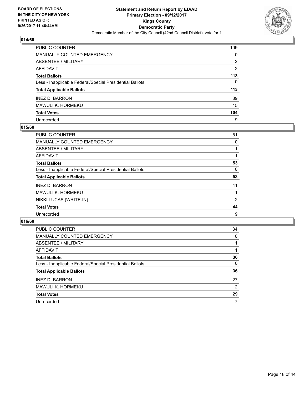

| PUBLIC COUNTER                                           | 109 |
|----------------------------------------------------------|-----|
| MANUALLY COUNTED EMERGENCY                               | 0   |
| <b>ABSENTEE / MILITARY</b>                               | 2   |
| <b>AFFIDAVIT</b>                                         | 2   |
| <b>Total Ballots</b>                                     | 113 |
| Less - Inapplicable Federal/Special Presidential Ballots | 0   |
| <b>Total Applicable Ballots</b>                          | 113 |
| <b>INEZ D. BARRON</b>                                    | 89  |
| MAWULI K. HORMEKU                                        | 15  |
| <b>Total Votes</b>                                       | 104 |
| Unrecorded                                               | 9   |

## **015/60**

| <b>PUBLIC COUNTER</b>                                    | 51             |
|----------------------------------------------------------|----------------|
| <b>MANUALLY COUNTED EMERGENCY</b>                        | 0              |
| ABSENTEE / MILITARY                                      |                |
| AFFIDAVIT                                                |                |
| <b>Total Ballots</b>                                     | 53             |
| Less - Inapplicable Federal/Special Presidential Ballots | 0              |
| <b>Total Applicable Ballots</b>                          | 53             |
| <b>INEZ D. BARRON</b>                                    | 41             |
| MAWULI K. HORMEKU                                        |                |
| NIKKI LUCAS (WRITE-IN)                                   | $\overline{2}$ |
| <b>Total Votes</b>                                       | 44             |
| Unrecorded                                               | 9              |

| PUBLIC COUNTER                                           | 34 |
|----------------------------------------------------------|----|
| <b>MANUALLY COUNTED EMERGENCY</b>                        | 0  |
| ABSENTEE / MILITARY                                      |    |
| AFFIDAVIT                                                |    |
| <b>Total Ballots</b>                                     | 36 |
| Less - Inapplicable Federal/Special Presidential Ballots | 0  |
| <b>Total Applicable Ballots</b>                          | 36 |
| <b>INEZ D. BARRON</b>                                    | 27 |
| <b>MAWULI K. HORMEKU</b>                                 | 2  |
| <b>Total Votes</b>                                       | 29 |
| Unrecorded                                               | 7  |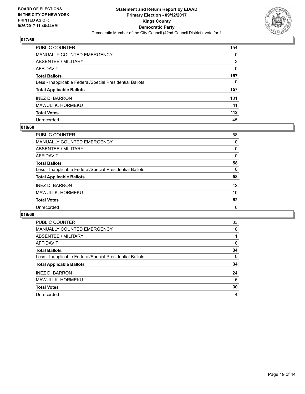

| PUBLIC COUNTER                                           | 154      |
|----------------------------------------------------------|----------|
| <b>MANUALLY COUNTED EMERGENCY</b>                        | 0        |
| <b>ABSENTEE / MILITARY</b>                               | 3        |
| <b>AFFIDAVIT</b>                                         | $\Omega$ |
| <b>Total Ballots</b>                                     | 157      |
| Less - Inapplicable Federal/Special Presidential Ballots | 0        |
| <b>Total Applicable Ballots</b>                          | 157      |
| <b>INEZ D. BARRON</b>                                    | 101      |
| MAWULI K. HORMEKU                                        | 11       |
| <b>Total Votes</b>                                       | 112      |
| Unrecorded                                               | 45       |

## **018/60**

| PUBLIC COUNTER                                           | 58 |
|----------------------------------------------------------|----|
| MANUALLY COUNTED EMERGENCY                               | 0  |
| ABSENTEE / MILITARY                                      | 0  |
| AFFIDAVIT                                                | 0  |
| <b>Total Ballots</b>                                     | 58 |
| Less - Inapplicable Federal/Special Presidential Ballots | 0  |
| <b>Total Applicable Ballots</b>                          | 58 |
| <b>INEZ D. BARRON</b>                                    | 42 |
| MAWULI K. HORMEKU                                        | 10 |
| <b>Total Votes</b>                                       | 52 |
| Unrecorded                                               | 6  |

| <b>PUBLIC COUNTER</b>                                    | 33 |
|----------------------------------------------------------|----|
| <b>MANUALLY COUNTED EMERGENCY</b>                        | 0  |
| ABSENTEE / MILITARY                                      |    |
| AFFIDAVIT                                                | 0  |
| <b>Total Ballots</b>                                     | 34 |
| Less - Inapplicable Federal/Special Presidential Ballots | 0  |
| <b>Total Applicable Ballots</b>                          | 34 |
| <b>INEZ D. BARRON</b>                                    | 24 |
| MAWULI K. HORMEKU                                        | 6  |
| <b>Total Votes</b>                                       | 30 |
| Unrecorded                                               | 4  |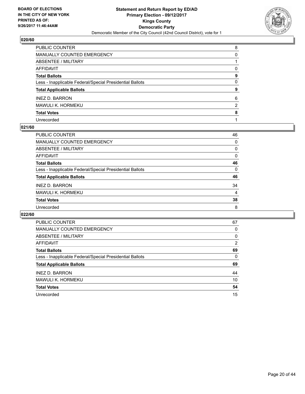

| PUBLIC COUNTER                                           | 8              |
|----------------------------------------------------------|----------------|
| MANUALLY COUNTED EMERGENCY                               | 0              |
| ABSENTEE / MILITARY                                      |                |
| AFFIDAVIT                                                | 0              |
| Total Ballots                                            | 9              |
| Less - Inapplicable Federal/Special Presidential Ballots | 0              |
| <b>Total Applicable Ballots</b>                          | 9              |
| <b>INEZ D. BARRON</b>                                    | 6              |
| MAWULI K. HORMEKU                                        | $\overline{2}$ |
| <b>Total Votes</b>                                       | 8              |
| Unrecorded                                               |                |

## **021/60**

| PUBLIC COUNTER                                           | 46 |
|----------------------------------------------------------|----|
| MANUALLY COUNTED EMERGENCY                               | 0  |
| ABSENTEE / MILITARY                                      | 0  |
| AFFIDAVIT                                                | 0  |
| <b>Total Ballots</b>                                     | 46 |
| Less - Inapplicable Federal/Special Presidential Ballots | 0  |
| <b>Total Applicable Ballots</b>                          | 46 |
| <b>INEZ D. BARRON</b>                                    | 34 |
| MAWULI K. HORMEKU                                        | 4  |
| <b>Total Votes</b>                                       | 38 |
| Unrecorded                                               | 8  |

| <b>PUBLIC COUNTER</b>                                    | 67             |
|----------------------------------------------------------|----------------|
| <b>MANUALLY COUNTED EMERGENCY</b>                        | 0              |
| ABSENTEE / MILITARY                                      | 0              |
| AFFIDAVIT                                                | $\overline{2}$ |
| <b>Total Ballots</b>                                     | 69             |
| Less - Inapplicable Federal/Special Presidential Ballots | 0              |
| <b>Total Applicable Ballots</b>                          | 69             |
| <b>INEZ D. BARRON</b>                                    | 44             |
| <b>MAWULI K. HORMEKU</b>                                 | 10             |
| <b>Total Votes</b>                                       | 54             |
| Unrecorded                                               | 15             |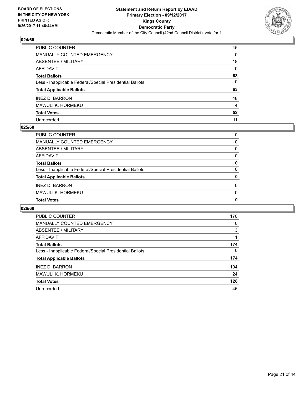

| PUBLIC COUNTER                                           | 45 |
|----------------------------------------------------------|----|
| <b>MANUALLY COUNTED EMERGENCY</b>                        | 0  |
| <b>ABSENTEE / MILITARY</b>                               | 18 |
| <b>AFFIDAVIT</b>                                         | 0  |
| <b>Total Ballots</b>                                     | 63 |
| Less - Inapplicable Federal/Special Presidential Ballots | 0  |
| <b>Total Applicable Ballots</b>                          | 63 |
| <b>INEZ D. BARRON</b>                                    | 48 |
| <b>MAWULI K. HORMEKU</b>                                 | 4  |
| <b>Total Votes</b>                                       | 52 |
| Unrecorded                                               | 11 |

## **025/60**

| <b>Total Votes</b>                                       | 0        |
|----------------------------------------------------------|----------|
| MAWULI K. HORMEKU                                        | $\Omega$ |
| <b>INEZ D. BARRON</b>                                    | $\Omega$ |
| <b>Total Applicable Ballots</b>                          | 0        |
| Less - Inapplicable Federal/Special Presidential Ballots | $\Omega$ |
| <b>Total Ballots</b>                                     | 0        |
| AFFIDAVIT                                                | 0        |
| ABSENTEE / MILITARY                                      | 0        |
| MANUALLY COUNTED EMERGENCY                               | 0        |
| PUBLIC COUNTER                                           | $\Omega$ |

| <b>PUBLIC COUNTER</b>                                    | 170 |
|----------------------------------------------------------|-----|
| MANUALLY COUNTED EMERGENCY                               | 0   |
| ABSENTEE / MILITARY                                      | 3   |
| AFFIDAVIT                                                |     |
| <b>Total Ballots</b>                                     | 174 |
| Less - Inapplicable Federal/Special Presidential Ballots | 0   |
| <b>Total Applicable Ballots</b>                          | 174 |
| <b>INEZ D. BARRON</b>                                    | 104 |
| MAWULI K. HORMEKU                                        | 24  |
| <b>Total Votes</b>                                       | 128 |
| Unrecorded                                               | 46  |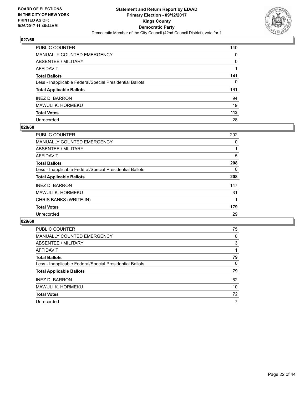

| PUBLIC COUNTER                                           | 140          |
|----------------------------------------------------------|--------------|
| <b>MANUALLY COUNTED EMERGENCY</b>                        | 0            |
| <b>ABSENTEE / MILITARY</b>                               | $\mathbf{0}$ |
| AFFIDAVIT                                                |              |
| <b>Total Ballots</b>                                     | 141          |
| Less - Inapplicable Federal/Special Presidential Ballots | $\mathbf{0}$ |
| <b>Total Applicable Ballots</b>                          | 141          |
| <b>INEZ D. BARRON</b>                                    | 94           |
| <b>MAWULI K. HORMEKU</b>                                 | 19           |
| <b>Total Votes</b>                                       | 113          |
| Unrecorded                                               | 28           |

## **028/60**

| <b>PUBLIC COUNTER</b>                                    | 202 |
|----------------------------------------------------------|-----|
| <b>MANUALLY COUNTED EMERGENCY</b>                        | 0   |
| ABSENTEE / MILITARY                                      |     |
| AFFIDAVIT                                                | 5   |
| <b>Total Ballots</b>                                     | 208 |
| Less - Inapplicable Federal/Special Presidential Ballots | 0   |
| <b>Total Applicable Ballots</b>                          | 208 |
| <b>INEZ D. BARRON</b>                                    | 147 |
| <b>MAWULI K. HORMEKU</b>                                 | 31  |
| CHRIS BANKS (WRITE-IN)                                   |     |
| <b>Total Votes</b>                                       | 179 |
| Unrecorded                                               | 29  |

| PUBLIC COUNTER                                           | 75 |
|----------------------------------------------------------|----|
| <b>MANUALLY COUNTED EMERGENCY</b>                        | 0  |
| ABSENTEE / MILITARY                                      | 3  |
| AFFIDAVIT                                                |    |
| <b>Total Ballots</b>                                     | 79 |
| Less - Inapplicable Federal/Special Presidential Ballots | 0  |
| <b>Total Applicable Ballots</b>                          | 79 |
| <b>INEZ D. BARRON</b>                                    | 62 |
| <b>MAWULI K. HORMEKU</b>                                 | 10 |
| <b>Total Votes</b>                                       | 72 |
| Unrecorded                                               | 7  |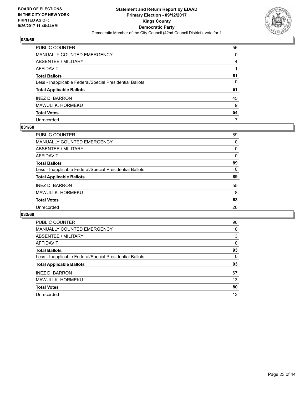

| PUBLIC COUNTER                                           | 56 |
|----------------------------------------------------------|----|
| <b>MANUALLY COUNTED EMERGENCY</b>                        | 0  |
| <b>ABSENTEE / MILITARY</b>                               | 4  |
| <b>AFFIDAVIT</b>                                         |    |
| <b>Total Ballots</b>                                     | 61 |
| Less - Inapplicable Federal/Special Presidential Ballots | 0  |
| <b>Total Applicable Ballots</b>                          | 61 |
| <b>INEZ D. BARRON</b>                                    | 45 |
| <b>MAWULI K. HORMEKU</b>                                 | 9  |
| <b>Total Votes</b>                                       | 54 |
| Unrecorded                                               | 7  |

## **031/60**

| PUBLIC COUNTER                                           | 89 |
|----------------------------------------------------------|----|
| MANUALLY COUNTED EMERGENCY                               | 0  |
| ABSENTEE / MILITARY                                      | 0  |
| AFFIDAVIT                                                | 0  |
| <b>Total Ballots</b>                                     | 89 |
| Less - Inapplicable Federal/Special Presidential Ballots | 0  |
| <b>Total Applicable Ballots</b>                          | 89 |
| <b>INEZ D. BARRON</b>                                    | 55 |
| MAWULI K. HORMEKU                                        | 8  |
| <b>Total Votes</b>                                       | 63 |
| Unrecorded                                               | 26 |
|                                                          |    |

| <b>PUBLIC COUNTER</b>                                    | 90 |
|----------------------------------------------------------|----|
| <b>MANUALLY COUNTED EMERGENCY</b>                        | 0  |
| ABSENTEE / MILITARY                                      | 3  |
| AFFIDAVIT                                                | 0  |
| <b>Total Ballots</b>                                     | 93 |
| Less - Inapplicable Federal/Special Presidential Ballots | 0  |
| <b>Total Applicable Ballots</b>                          | 93 |
| <b>INEZ D. BARRON</b>                                    | 67 |
| MAWULI K. HORMEKU                                        | 13 |
| <b>Total Votes</b>                                       | 80 |
| Unrecorded                                               | 13 |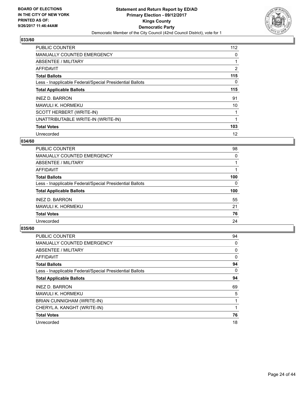

| <b>PUBLIC COUNTER</b>                                    | 112 |
|----------------------------------------------------------|-----|
| <b>MANUALLY COUNTED EMERGENCY</b>                        | 0   |
| ABSENTEE / MILITARY                                      | 1   |
| <b>AFFIDAVIT</b>                                         | 2   |
| <b>Total Ballots</b>                                     | 115 |
| Less - Inapplicable Federal/Special Presidential Ballots | 0   |
| <b>Total Applicable Ballots</b>                          | 115 |
| <b>INEZ D. BARRON</b>                                    | 91  |
| MAWULI K. HORMEKU                                        | 10  |
| SCOTT HERBERT (WRITE-IN)                                 |     |
| UNATTRIBUTABLE WRITE-IN (WRITE-IN)                       | 1   |
| <b>Total Votes</b>                                       | 103 |
| Unrecorded                                               | 12  |

## **034/60**

| <b>PUBLIC COUNTER</b>                                    | 98  |
|----------------------------------------------------------|-----|
| MANUALLY COUNTED EMERGENCY                               | 0   |
| ABSENTEE / MILITARY                                      |     |
| <b>AFFIDAVIT</b>                                         |     |
| <b>Total Ballots</b>                                     | 100 |
| Less - Inapplicable Federal/Special Presidential Ballots | 0   |
| <b>Total Applicable Ballots</b>                          | 100 |
| <b>INEZ D. BARRON</b>                                    | 55  |
| MAWULI K. HORMEKU                                        | 21  |
| <b>Total Votes</b>                                       | 76  |
| Unrecorded                                               | 24  |

| <b>PUBLIC COUNTER</b>                                    | 94 |
|----------------------------------------------------------|----|
| MANUALLY COUNTED EMERGENCY                               | 0  |
| ABSENTEE / MILITARY                                      | 0  |
| <b>AFFIDAVIT</b>                                         | 0  |
| <b>Total Ballots</b>                                     | 94 |
| Less - Inapplicable Federal/Special Presidential Ballots | 0  |
| <b>Total Applicable Ballots</b>                          | 94 |
| <b>INEZ D. BARRON</b>                                    | 69 |
| MAWULI K. HORMEKU                                        | 5  |
| BRIAN CUNNIGHAM (WRITE-IN)                               | 1  |
| CHERYL A. KANGHT (WRITE-IN)                              |    |
| <b>Total Votes</b>                                       | 76 |
| Unrecorded                                               | 18 |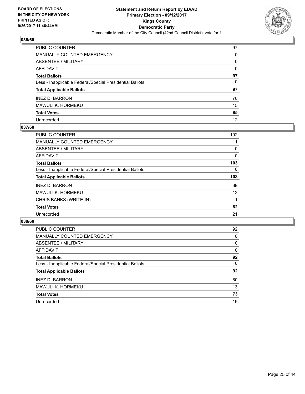

| PUBLIC COUNTER                                           | 97 |
|----------------------------------------------------------|----|
| MANUALLY COUNTED EMERGENCY                               | 0  |
| <b>ABSENTEE / MILITARY</b>                               | 0  |
| <b>AFFIDAVIT</b>                                         | 0  |
| <b>Total Ballots</b>                                     | 97 |
| Less - Inapplicable Federal/Special Presidential Ballots | 0  |
| <b>Total Applicable Ballots</b>                          | 97 |
| <b>INEZ D. BARRON</b>                                    | 70 |
| MAWULI K. HORMEKU                                        | 15 |
| <b>Total Votes</b>                                       | 85 |
| Unrecorded                                               | 12 |

## **037/60**

| <b>PUBLIC COUNTER</b>                                    | 102 |
|----------------------------------------------------------|-----|
| MANUALLY COUNTED EMERGENCY                               |     |
| ABSENTEE / MILITARY                                      | 0   |
| <b>AFFIDAVIT</b>                                         | 0   |
| <b>Total Ballots</b>                                     | 103 |
| Less - Inapplicable Federal/Special Presidential Ballots | 0   |
| <b>Total Applicable Ballots</b>                          | 103 |
| <b>INEZ D. BARRON</b>                                    | 69  |
| MAWULI K. HORMEKU                                        | 12  |
| CHRIS BANKS (WRITE-IN)                                   |     |
| <b>Total Votes</b>                                       | 82  |
| Unrecorded                                               | 21  |

| <b>PUBLIC COUNTER</b>                                    | 92 |
|----------------------------------------------------------|----|
| <b>MANUALLY COUNTED EMERGENCY</b>                        | 0  |
| ABSENTEE / MILITARY                                      | 0  |
| AFFIDAVIT                                                | 0  |
| <b>Total Ballots</b>                                     | 92 |
| Less - Inapplicable Federal/Special Presidential Ballots | 0  |
| <b>Total Applicable Ballots</b>                          | 92 |
| <b>INEZ D. BARRON</b>                                    | 60 |
| MAWULI K. HORMEKU                                        | 13 |
| <b>Total Votes</b>                                       | 73 |
| Unrecorded                                               | 19 |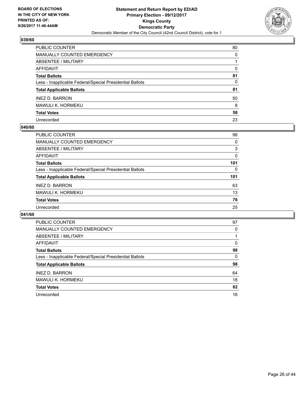

| PUBLIC COUNTER                                           | 80 |
|----------------------------------------------------------|----|
| <b>MANUALLY COUNTED EMERGENCY</b>                        | 0  |
| <b>ABSENTEE / MILITARY</b>                               |    |
| AFFIDAVIT                                                | 0  |
| <b>Total Ballots</b>                                     | 81 |
| Less - Inapplicable Federal/Special Presidential Ballots | 0  |
| <b>Total Applicable Ballots</b>                          | 81 |
| <b>INEZ D. BARRON</b>                                    | 50 |
| <b>MAWULI K. HORMEKU</b>                                 | 8  |
| <b>Total Votes</b>                                       | 58 |
| Unrecorded                                               | 23 |

## **040/60**

| <b>PUBLIC COUNTER</b>                                    | 98       |
|----------------------------------------------------------|----------|
| MANUALLY COUNTED EMERGENCY                               | 0        |
| ABSENTEE / MILITARY                                      | 3        |
| AFFIDAVIT                                                | 0        |
| <b>Total Ballots</b>                                     | 101      |
| Less - Inapplicable Federal/Special Presidential Ballots | $\Omega$ |
| <b>Total Applicable Ballots</b>                          | 101      |
| <b>INEZ D. BARRON</b>                                    | 63       |
| MAWULI K. HORMEKU                                        | 13       |
| <b>Total Votes</b>                                       | 76       |
| Unrecorded                                               | 25       |

| <b>PUBLIC COUNTER</b>                                    | 97 |
|----------------------------------------------------------|----|
| <b>MANUALLY COUNTED EMERGENCY</b>                        | 0  |
| ABSENTEE / MILITARY                                      |    |
| <b>AFFIDAVIT</b>                                         | 0  |
| <b>Total Ballots</b>                                     | 98 |
| Less - Inapplicable Federal/Special Presidential Ballots | 0  |
| <b>Total Applicable Ballots</b>                          | 98 |
| <b>INEZ D. BARRON</b>                                    | 64 |
| MAWULI K. HORMEKU                                        | 18 |
| <b>Total Votes</b>                                       | 82 |
| Unrecorded                                               | 16 |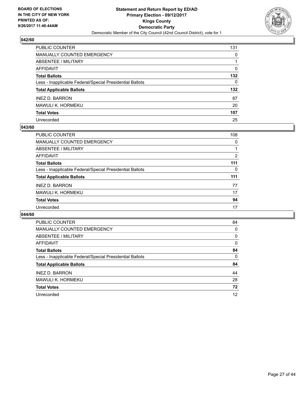

| PUBLIC COUNTER                                           | 131 |
|----------------------------------------------------------|-----|
| MANUALLY COUNTED EMERGENCY                               | 0   |
| <b>ABSENTEE / MILITARY</b>                               | 1   |
| <b>AFFIDAVIT</b>                                         | 0   |
| <b>Total Ballots</b>                                     | 132 |
| Less - Inapplicable Federal/Special Presidential Ballots | 0   |
| <b>Total Applicable Ballots</b>                          | 132 |
| <b>INEZ D. BARRON</b>                                    | 87  |
| <b>MAWULI K. HORMEKU</b>                                 | 20  |
| <b>Total Votes</b>                                       | 107 |
| Unrecorded                                               | 25  |

## **043/60**

| PUBLIC COUNTER                                           | 108 |
|----------------------------------------------------------|-----|
| MANUALLY COUNTED EMERGENCY                               | 0   |
| ABSENTEE / MILITARY                                      |     |
| AFFIDAVIT                                                | 2   |
| <b>Total Ballots</b>                                     | 111 |
| Less - Inapplicable Federal/Special Presidential Ballots | 0   |
| <b>Total Applicable Ballots</b>                          | 111 |
| <b>INEZ D. BARRON</b>                                    | 77  |
| MAWULI K. HORMEKU                                        | 17  |
| <b>Total Votes</b>                                       | 94  |
| Unrecorded                                               | 17  |

| <b>PUBLIC COUNTER</b>                                    | 84 |
|----------------------------------------------------------|----|
| <b>MANUALLY COUNTED EMERGENCY</b>                        | 0  |
| ABSENTEE / MILITARY                                      | 0  |
| AFFIDAVIT                                                | 0  |
| <b>Total Ballots</b>                                     | 84 |
| Less - Inapplicable Federal/Special Presidential Ballots | 0  |
| <b>Total Applicable Ballots</b>                          | 84 |
| <b>INEZ D. BARRON</b>                                    | 44 |
| <b>MAWULI K. HORMEKU</b>                                 | 28 |
| <b>Total Votes</b>                                       | 72 |
| Unrecorded                                               | 12 |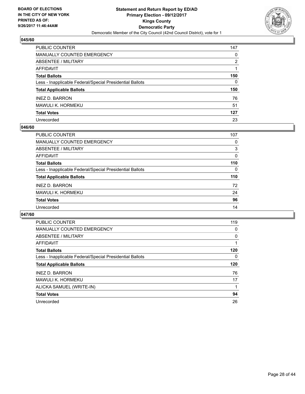

| PUBLIC COUNTER                                           | 147          |
|----------------------------------------------------------|--------------|
| <b>MANUALLY COUNTED EMERGENCY</b>                        | 0            |
| <b>ABSENTEE / MILITARY</b>                               | 2            |
| <b>AFFIDAVIT</b>                                         |              |
| <b>Total Ballots</b>                                     | 150          |
| Less - Inapplicable Federal/Special Presidential Ballots | $\mathbf{0}$ |
| <b>Total Applicable Ballots</b>                          | 150          |
| <b>INEZ D. BARRON</b>                                    | 76           |
| MAWULI K. HORMEKU                                        | 51           |
| <b>Total Votes</b>                                       | 127          |
| Unrecorded                                               | 23           |

## **046/60**

| PUBLIC COUNTER                                           | 107 |
|----------------------------------------------------------|-----|
| <b>MANUALLY COUNTED EMERGENCY</b>                        | 0   |
| ABSENTEE / MILITARY                                      | 3   |
| AFFIDAVIT                                                | 0   |
| <b>Total Ballots</b>                                     | 110 |
| Less - Inapplicable Federal/Special Presidential Ballots | 0   |
| <b>Total Applicable Ballots</b>                          | 110 |
| <b>INEZ D. BARRON</b>                                    | 72  |
| <b>MAWULI K. HORMEKU</b>                                 | 24  |
| <b>Total Votes</b>                                       | 96  |
| Unrecorded                                               | 14  |

| <b>PUBLIC COUNTER</b>                                    | 119 |
|----------------------------------------------------------|-----|
| <b>MANUALLY COUNTED EMERGENCY</b>                        | 0   |
| ABSENTEE / MILITARY                                      | 0   |
| AFFIDAVIT                                                |     |
| <b>Total Ballots</b>                                     | 120 |
| Less - Inapplicable Federal/Special Presidential Ballots | 0   |
| <b>Total Applicable Ballots</b>                          | 120 |
| <b>INEZ D. BARRON</b>                                    | 76  |
| <b>MAWULI K. HORMEKU</b>                                 | 17  |
| ALICKA SAMUEL (WRITE-IN)                                 |     |
| <b>Total Votes</b>                                       | 94  |
| Unrecorded                                               |     |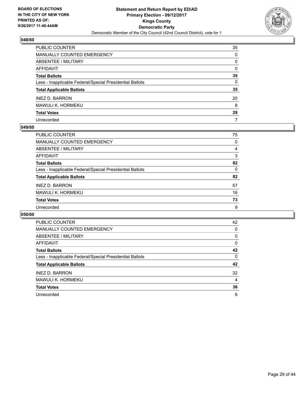

| PUBLIC COUNTER                                           | 35           |
|----------------------------------------------------------|--------------|
| <b>MANUALLY COUNTED EMERGENCY</b>                        | 0            |
| <b>ABSENTEE / MILITARY</b>                               | 0            |
| AFFIDAVIT                                                | 0            |
| <b>Total Ballots</b>                                     | 35           |
| Less - Inapplicable Federal/Special Presidential Ballots | $\mathbf{0}$ |
| <b>Total Applicable Ballots</b>                          | 35           |
| <b>INEZ D. BARRON</b>                                    | 20           |
| MAWULI K. HORMEKU                                        | 8            |
| <b>Total Votes</b>                                       | 28           |
| Unrecorded                                               | 7            |

## **049/60**

| PUBLIC COUNTER                                           | 75 |
|----------------------------------------------------------|----|
| MANUALLY COUNTED EMERGENCY                               | 0  |
| ABSENTEE / MILITARY                                      | 4  |
| AFFIDAVIT                                                | 3  |
| <b>Total Ballots</b>                                     | 82 |
| Less - Inapplicable Federal/Special Presidential Ballots | 0  |
| <b>Total Applicable Ballots</b>                          | 82 |
| <b>INEZ D. BARRON</b>                                    | 57 |
| MAWULI K. HORMEKU                                        | 16 |
| <b>Total Votes</b>                                       | 73 |
| Unrecorded                                               | 9  |

| <b>PUBLIC COUNTER</b>                                    | 42 |
|----------------------------------------------------------|----|
| <b>MANUALLY COUNTED EMERGENCY</b>                        | 0  |
| ABSENTEE / MILITARY                                      | 0  |
| <b>AFFIDAVIT</b>                                         | 0  |
| <b>Total Ballots</b>                                     | 42 |
| Less - Inapplicable Federal/Special Presidential Ballots | 0  |
| <b>Total Applicable Ballots</b>                          | 42 |
| <b>INEZ D. BARRON</b>                                    | 32 |
| MAWULI K. HORMEKU                                        | 4  |
| <b>Total Votes</b>                                       | 36 |
| Unrecorded                                               | 6  |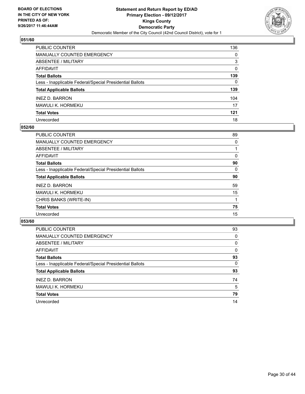

| PUBLIC COUNTER                                           | 136 |
|----------------------------------------------------------|-----|
| <b>MANUALLY COUNTED EMERGENCY</b>                        | 0   |
| <b>ABSENTEE / MILITARY</b>                               | 3   |
| AFFIDAVIT                                                | 0   |
| <b>Total Ballots</b>                                     | 139 |
| Less - Inapplicable Federal/Special Presidential Ballots | 0   |
| <b>Total Applicable Ballots</b>                          | 139 |
| <b>INEZ D. BARRON</b>                                    | 104 |
| MAWULI K. HORMEKU                                        | 17  |
| <b>Total Votes</b>                                       | 121 |
| Unrecorded                                               | 18  |

## **052/60**

| PUBLIC COUNTER                                           | 89 |
|----------------------------------------------------------|----|
| <b>MANUALLY COUNTED EMERGENCY</b>                        | 0  |
| ABSENTEE / MILITARY                                      |    |
| AFFIDAVIT                                                | 0  |
| <b>Total Ballots</b>                                     | 90 |
| Less - Inapplicable Federal/Special Presidential Ballots | 0  |
| <b>Total Applicable Ballots</b>                          | 90 |
| <b>INEZ D. BARRON</b>                                    | 59 |
| <b>MAWULI K. HORMEKU</b>                                 | 15 |
| CHRIS BANKS (WRITE-IN)                                   |    |
| <b>Total Votes</b>                                       | 75 |
| Unrecorded                                               | 15 |
|                                                          |    |

| <b>PUBLIC COUNTER</b>                                    | 93 |
|----------------------------------------------------------|----|
| <b>MANUALLY COUNTED EMERGENCY</b>                        | 0  |
| ABSENTEE / MILITARY                                      | 0  |
| AFFIDAVIT                                                | 0  |
| <b>Total Ballots</b>                                     | 93 |
| Less - Inapplicable Federal/Special Presidential Ballots | 0  |
| <b>Total Applicable Ballots</b>                          | 93 |
| <b>INEZ D. BARRON</b>                                    | 74 |
| <b>MAWULI K. HORMEKU</b>                                 | 5  |
| <b>Total Votes</b>                                       | 79 |
| Unrecorded                                               | 14 |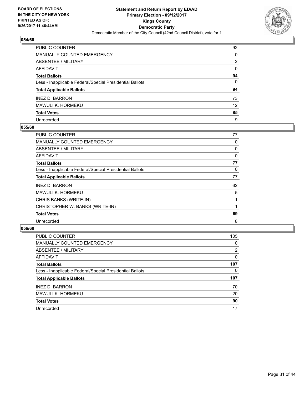

| PUBLIC COUNTER                                           | 92       |
|----------------------------------------------------------|----------|
| MANUALLY COUNTED EMERGENCY                               | 0        |
| <b>ABSENTEE / MILITARY</b>                               | 2        |
| <b>AFFIDAVIT</b>                                         | 0        |
| <b>Total Ballots</b>                                     | 94       |
| Less - Inapplicable Federal/Special Presidential Ballots | $\Omega$ |
| <b>Total Applicable Ballots</b>                          | 94       |
| <b>INEZ D. BARRON</b>                                    | 73       |
| MAWULI K. HORMEKU                                        | 12       |
| <b>Total Votes</b>                                       | 85       |
| Unrecorded                                               | 9        |

## **055/60**

| <b>PUBLIC COUNTER</b>                                    | 77 |
|----------------------------------------------------------|----|
| <b>MANUALLY COUNTED EMERGENCY</b>                        | 0  |
| ABSENTEE / MILITARY                                      | 0  |
| AFFIDAVIT                                                | 0  |
| <b>Total Ballots</b>                                     | 77 |
| Less - Inapplicable Federal/Special Presidential Ballots | 0  |
| <b>Total Applicable Ballots</b>                          | 77 |
| <b>INEZ D. BARRON</b>                                    | 62 |
| MAWULI K. HORMEKU                                        | 5  |
| CHRIS BANKS (WRITE-IN)                                   |    |
| CHRISTOPHER W. BANKS (WRITE-IN)                          |    |
| <b>Total Votes</b>                                       | 69 |
| Unrecorded                                               | 8  |

| <b>PUBLIC COUNTER</b>                                    | 105 |
|----------------------------------------------------------|-----|
| <b>MANUALLY COUNTED EMERGENCY</b>                        | 0   |
| ABSENTEE / MILITARY                                      | 2   |
| AFFIDAVIT                                                | 0   |
| <b>Total Ballots</b>                                     | 107 |
| Less - Inapplicable Federal/Special Presidential Ballots | 0   |
| <b>Total Applicable Ballots</b>                          | 107 |
| <b>INEZ D. BARRON</b>                                    | 70  |
| MAWULI K. HORMEKU                                        | 20  |
| <b>Total Votes</b>                                       | 90  |
| Unrecorded                                               | 17  |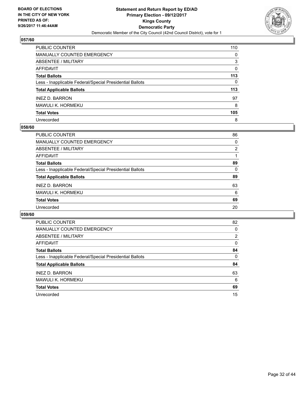

| PUBLIC COUNTER                                           | 110 |
|----------------------------------------------------------|-----|
| <b>MANUALLY COUNTED EMERGENCY</b>                        | 0   |
| <b>ABSENTEE / MILITARY</b>                               | 3   |
| <b>AFFIDAVIT</b>                                         | 0   |
| <b>Total Ballots</b>                                     | 113 |
| Less - Inapplicable Federal/Special Presidential Ballots | 0   |
| <b>Total Applicable Ballots</b>                          | 113 |
| <b>INEZ D. BARRON</b>                                    | 97  |
| <b>MAWULI K. HORMEKU</b>                                 | 8   |
| <b>Total Votes</b>                                       | 105 |
| Unrecorded                                               | 8   |

## **058/60**

| <b>PUBLIC COUNTER</b>                                    | 86 |
|----------------------------------------------------------|----|
| MANUALLY COUNTED EMERGENCY                               | 0  |
| ABSENTEE / MILITARY                                      | 2  |
| AFFIDAVIT                                                |    |
| <b>Total Ballots</b>                                     | 89 |
| Less - Inapplicable Federal/Special Presidential Ballots | 0  |
| <b>Total Applicable Ballots</b>                          | 89 |
| <b>INEZ D. BARRON</b>                                    | 63 |
| MAWULI K. HORMEKU                                        | 6  |
| <b>Total Votes</b>                                       | 69 |
| Unrecorded                                               | 20 |

| <b>PUBLIC COUNTER</b>                                    | 82 |
|----------------------------------------------------------|----|
| <b>MANUALLY COUNTED EMERGENCY</b>                        | 0  |
| ABSENTEE / MILITARY                                      | 2  |
| AFFIDAVIT                                                | 0  |
| <b>Total Ballots</b>                                     | 84 |
| Less - Inapplicable Federal/Special Presidential Ballots | 0  |
| <b>Total Applicable Ballots</b>                          | 84 |
| <b>INEZ D. BARRON</b>                                    | 63 |
| MAWULI K. HORMEKU                                        | 6  |
| <b>Total Votes</b>                                       | 69 |
| Unrecorded                                               | 15 |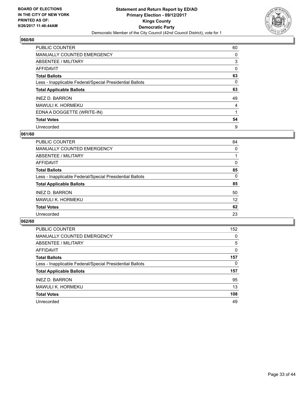

| <b>PUBLIC COUNTER</b>                                    | 60 |
|----------------------------------------------------------|----|
| <b>MANUALLY COUNTED EMERGENCY</b>                        | 0  |
| ABSENTEE / MILITARY                                      | 3  |
| AFFIDAVIT                                                | 0  |
| <b>Total Ballots</b>                                     | 63 |
| Less - Inapplicable Federal/Special Presidential Ballots | 0  |
| <b>Total Applicable Ballots</b>                          | 63 |
| <b>INEZ D. BARRON</b>                                    | 49 |
| MAWULI K. HORMEKU                                        | 4  |
| EDNA A DOGGETTE (WRITE-IN)                               |    |
| <b>Total Votes</b>                                       | 54 |
| Unrecorded                                               | 9  |

## **061/60**

| <b>PUBLIC COUNTER</b>                                    | 84 |
|----------------------------------------------------------|----|
| MANUALLY COUNTED EMERGENCY                               | 0  |
| ABSENTEE / MILITARY                                      |    |
| <b>AFFIDAVIT</b>                                         | 0  |
| <b>Total Ballots</b>                                     | 85 |
| Less - Inapplicable Federal/Special Presidential Ballots | 0  |
| <b>Total Applicable Ballots</b>                          | 85 |
| <b>INEZ D. BARRON</b>                                    | 50 |
| MAWULI K. HORMEKU                                        | 12 |
| <b>Total Votes</b>                                       | 62 |
| Unrecorded                                               | 23 |

| <b>PUBLIC COUNTER</b>                                    | 152 |
|----------------------------------------------------------|-----|
| <b>MANUALLY COUNTED EMERGENCY</b>                        | 0   |
| ABSENTEE / MILITARY                                      | 5   |
| AFFIDAVIT                                                | 0   |
| <b>Total Ballots</b>                                     | 157 |
| Less - Inapplicable Federal/Special Presidential Ballots | 0   |
| <b>Total Applicable Ballots</b>                          | 157 |
| <b>INEZ D. BARRON</b>                                    | 95  |
| <b>MAWULI K. HORMEKU</b>                                 | 13  |
| <b>Total Votes</b>                                       | 108 |
| Unrecorded                                               | 49  |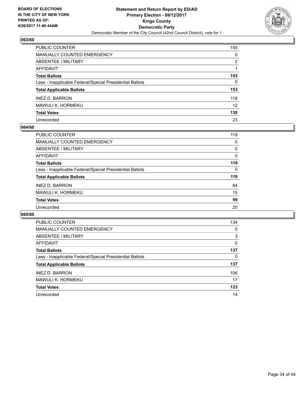

| PUBLIC COUNTER                                           | 150      |
|----------------------------------------------------------|----------|
| <b>MANUALLY COUNTED EMERGENCY</b>                        | 0        |
| <b>ABSENTEE / MILITARY</b>                               | 2        |
| <b>AFFIDAVIT</b>                                         |          |
| <b>Total Ballots</b>                                     | 153      |
| Less - Inapplicable Federal/Special Presidential Ballots | $\Omega$ |
| <b>Total Applicable Ballots</b>                          | 153      |
| <b>INEZ D. BARRON</b>                                    | 118      |
| <b>MAWULI K. HORMEKU</b>                                 | 12       |
| <b>Total Votes</b>                                       | 130      |
| Unrecorded                                               | 23       |

## **064/60**

| PUBLIC COUNTER                                           | 119      |
|----------------------------------------------------------|----------|
| <b>MANUALLY COUNTED EMERGENCY</b>                        | 0        |
| ABSENTEE / MILITARY                                      | 0        |
| AFFIDAVIT                                                | 0        |
| <b>Total Ballots</b>                                     | 119      |
| Less - Inapplicable Federal/Special Presidential Ballots | $\Omega$ |
| <b>Total Applicable Ballots</b>                          | 119      |
| <b>INEZ D. BARRON</b>                                    | 84       |
| <b>MAWULI K. HORMEKU</b>                                 | 15       |
| <b>Total Votes</b>                                       | 99       |
| Unrecorded                                               | 20       |

| PUBLIC COUNTER                                           | 134 |
|----------------------------------------------------------|-----|
| <b>MANUALLY COUNTED EMERGENCY</b>                        | 0   |
| ABSENTEE / MILITARY                                      | 3   |
| AFFIDAVIT                                                | 0   |
| <b>Total Ballots</b>                                     | 137 |
| Less - Inapplicable Federal/Special Presidential Ballots | 0   |
| <b>Total Applicable Ballots</b>                          | 137 |
| <b>INEZ D. BARRON</b>                                    | 106 |
| MAWULI K. HORMEKU                                        | 17  |
| <b>Total Votes</b>                                       | 123 |
| Unrecorded                                               | 14  |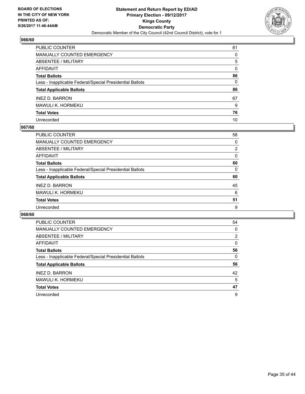

| PUBLIC COUNTER                                           | 81 |
|----------------------------------------------------------|----|
| <b>MANUALLY COUNTED EMERGENCY</b>                        | 0  |
| <b>ABSENTEE / MILITARY</b>                               | 5  |
| AFFIDAVIT                                                | 0  |
| <b>Total Ballots</b>                                     | 86 |
| Less - Inapplicable Federal/Special Presidential Ballots | 0  |
| <b>Total Applicable Ballots</b>                          | 86 |
| <b>INEZ D. BARRON</b>                                    | 67 |
| MAWULI K. HORMEKU                                        | 9  |
| <b>Total Votes</b>                                       | 76 |
| Unrecorded                                               | 10 |

## **067/60**

| PUBLIC COUNTER                                           | 58             |
|----------------------------------------------------------|----------------|
| MANUALLY COUNTED EMERGENCY                               | 0              |
| ABSENTEE / MILITARY                                      | $\overline{2}$ |
| AFFIDAVIT                                                | $\Omega$       |
| <b>Total Ballots</b>                                     | 60             |
| Less - Inapplicable Federal/Special Presidential Ballots | 0              |
| <b>Total Applicable Ballots</b>                          | 60             |
| <b>INEZ D. BARRON</b>                                    | 45             |
| MAWULI K. HORMEKU                                        | 6              |
| <b>Total Votes</b>                                       | 51             |
| Unrecorded                                               | 9              |

| <b>PUBLIC COUNTER</b>                                    | 54 |
|----------------------------------------------------------|----|
| <b>MANUALLY COUNTED EMERGENCY</b>                        | 0  |
| ABSENTEE / MILITARY                                      | 2  |
| <b>AFFIDAVIT</b>                                         | 0  |
| <b>Total Ballots</b>                                     | 56 |
| Less - Inapplicable Federal/Special Presidential Ballots | 0  |
| <b>Total Applicable Ballots</b>                          | 56 |
| <b>INEZ D. BARRON</b>                                    | 42 |
| MAWULI K. HORMEKU                                        | 5  |
|                                                          |    |
| <b>Total Votes</b>                                       | 47 |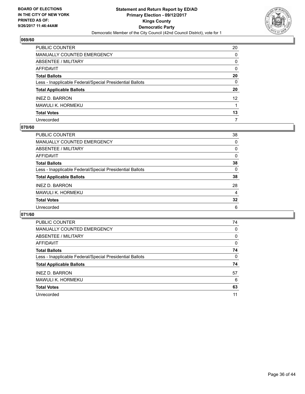

| PUBLIC COUNTER                                           | 20           |
|----------------------------------------------------------|--------------|
| <b>MANUALLY COUNTED EMERGENCY</b>                        | 0            |
| <b>ABSENTEE / MILITARY</b>                               | 0            |
| AFFIDAVIT                                                | 0            |
| <b>Total Ballots</b>                                     | 20           |
| Less - Inapplicable Federal/Special Presidential Ballots | $\mathbf{0}$ |
| <b>Total Applicable Ballots</b>                          | 20           |
| <b>INEZ D. BARRON</b>                                    | 12           |
| MAWULI K. HORMEKU                                        |              |
| <b>Total Votes</b>                                       | 13           |
| Unrecorded                                               | 7            |

## **070/60**

| PUBLIC COUNTER                                           | 38       |
|----------------------------------------------------------|----------|
| MANUALLY COUNTED EMERGENCY                               | 0        |
| ABSENTEE / MILITARY                                      | 0        |
| AFFIDAVIT                                                | $\Omega$ |
| <b>Total Ballots</b>                                     | 38       |
| Less - Inapplicable Federal/Special Presidential Ballots | 0        |
| <b>Total Applicable Ballots</b>                          | 38       |
| <b>INEZ D. BARRON</b>                                    | 28       |
| MAWULI K. HORMEKU                                        | 4        |
| <b>Total Votes</b>                                       | 32       |
| Unrecorded                                               | 6        |

| <b>PUBLIC COUNTER</b>                                    | 74 |
|----------------------------------------------------------|----|
| <b>MANUALLY COUNTED EMERGENCY</b>                        | 0  |
| ABSENTEE / MILITARY                                      | 0  |
| AFFIDAVIT                                                | 0  |
| <b>Total Ballots</b>                                     | 74 |
| Less - Inapplicable Federal/Special Presidential Ballots | 0  |
| <b>Total Applicable Ballots</b>                          | 74 |
| <b>INEZ D. BARRON</b>                                    | 57 |
| <b>MAWULI K. HORMEKU</b>                                 | 6  |
| <b>Total Votes</b>                                       | 63 |
| Unrecorded                                               | 11 |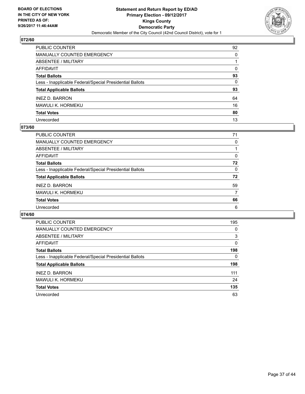

| PUBLIC COUNTER                                           | 92       |
|----------------------------------------------------------|----------|
| MANUALLY COUNTED EMERGENCY                               | $\Omega$ |
| <b>ABSENTEE / MILITARY</b>                               |          |
| <b>AFFIDAVIT</b>                                         | $\Omega$ |
| <b>Total Ballots</b>                                     | 93       |
| Less - Inapplicable Federal/Special Presidential Ballots | 0        |
| <b>Total Applicable Ballots</b>                          | 93       |
| <b>INEZ D. BARRON</b>                                    | 64       |
| MAWULI K. HORMEKU                                        | 16       |
| <b>Total Votes</b>                                       | 80       |
| Unrecorded                                               | 13       |

## **073/60**

| 71 |
|----|
| 0  |
|    |
| 0  |
| 72 |
| 0  |
| 72 |
| 59 |
| 7  |
| 66 |
| 6  |
|    |

| <b>PUBLIC COUNTER</b>                                    | 195 |
|----------------------------------------------------------|-----|
| <b>MANUALLY COUNTED EMERGENCY</b>                        | 0   |
| ABSENTEE / MILITARY                                      | 3   |
| AFFIDAVIT                                                | 0   |
| <b>Total Ballots</b>                                     | 198 |
| Less - Inapplicable Federal/Special Presidential Ballots | 0   |
| <b>Total Applicable Ballots</b>                          | 198 |
| <b>INEZ D. BARRON</b>                                    | 111 |
| MAWULI K. HORMEKU                                        | 24  |
| <b>Total Votes</b>                                       | 135 |
| Unrecorded                                               | 63  |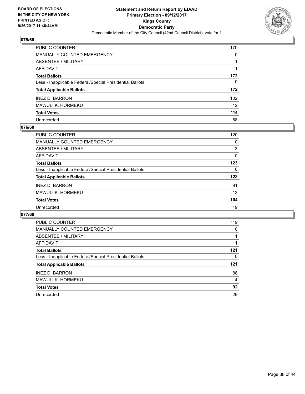

| PUBLIC COUNTER                                           | 170 |
|----------------------------------------------------------|-----|
| <b>MANUALLY COUNTED EMERGENCY</b>                        | 0   |
| <b>ABSENTEE / MILITARY</b>                               | 1   |
| <b>AFFIDAVIT</b>                                         |     |
| <b>Total Ballots</b>                                     | 172 |
| Less - Inapplicable Federal/Special Presidential Ballots | 0   |
| <b>Total Applicable Ballots</b>                          | 172 |
| <b>INEZ D. BARRON</b>                                    | 102 |
| <b>MAWULI K. HORMEKU</b>                                 | 12  |
| <b>Total Votes</b>                                       | 114 |
| Unrecorded                                               | 58  |

## **076/60**

| <b>PUBLIC COUNTER</b>                                    | 120 |
|----------------------------------------------------------|-----|
| <b>MANUALLY COUNTED EMERGENCY</b>                        | 0   |
| ABSENTEE / MILITARY                                      | 3   |
| AFFIDAVIT                                                | 0   |
| <b>Total Ballots</b>                                     | 123 |
| Less - Inapplicable Federal/Special Presidential Ballots | 0   |
| <b>Total Applicable Ballots</b>                          | 123 |
| <b>INEZ D. BARRON</b>                                    | 91  |
| MAWULI K. HORMEKU                                        | 13  |
| <b>Total Votes</b>                                       | 104 |
| Unrecorded                                               | 19  |

| <b>PUBLIC COUNTER</b>                                    | 119 |
|----------------------------------------------------------|-----|
| <b>MANUALLY COUNTED EMERGENCY</b>                        | 0   |
| ABSENTEE / MILITARY                                      |     |
| <b>AFFIDAVIT</b>                                         |     |
| <b>Total Ballots</b>                                     | 121 |
| Less - Inapplicable Federal/Special Presidential Ballots | 0   |
| <b>Total Applicable Ballots</b>                          | 121 |
| <b>INEZ D. BARRON</b>                                    | 88  |
| MAWULI K. HORMEKU                                        | 4   |
| <b>Total Votes</b>                                       | 92  |
| Unrecorded                                               | 29  |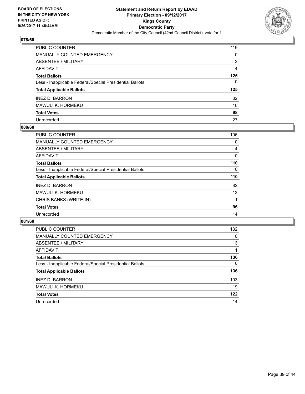

| PUBLIC COUNTER                                           | 119          |
|----------------------------------------------------------|--------------|
| <b>MANUALLY COUNTED EMERGENCY</b>                        | 0            |
| <b>ABSENTEE / MILITARY</b>                               | 2            |
| AFFIDAVIT                                                | 4            |
| <b>Total Ballots</b>                                     | 125          |
| Less - Inapplicable Federal/Special Presidential Ballots | $\mathbf{0}$ |
| <b>Total Applicable Ballots</b>                          | 125          |
| <b>INEZ D. BARRON</b>                                    | 82           |
| MAWULI K. HORMEKU                                        | 16           |
| <b>Total Votes</b>                                       | 98           |
| Unrecorded                                               | 27           |

## **080/60**

| <b>PUBLIC COUNTER</b>                                    | 106 |
|----------------------------------------------------------|-----|
| MANUALLY COUNTED EMERGENCY                               | 0   |
| ABSENTEE / MILITARY                                      | 4   |
| <b>AFFIDAVIT</b>                                         | 0   |
| <b>Total Ballots</b>                                     | 110 |
| Less - Inapplicable Federal/Special Presidential Ballots | 0   |
| <b>Total Applicable Ballots</b>                          | 110 |
| <b>INEZ D. BARRON</b>                                    | 82  |
| MAWULI K. HORMEKU                                        | 13  |
| CHRIS BANKS (WRITE-IN)                                   |     |
| <b>Total Votes</b>                                       | 96  |
| Unrecorded                                               | 14  |

| <b>PUBLIC COUNTER</b>                                    | 132      |
|----------------------------------------------------------|----------|
| <b>MANUALLY COUNTED EMERGENCY</b>                        | 0        |
| ABSENTEE / MILITARY                                      | 3        |
| AFFIDAVIT                                                |          |
| <b>Total Ballots</b>                                     | 136      |
| Less - Inapplicable Federal/Special Presidential Ballots | $\Omega$ |
| <b>Total Applicable Ballots</b>                          | 136      |
| <b>INEZ D. BARRON</b>                                    | 103      |
| <b>MAWULI K. HORMEKU</b>                                 | 19       |
| <b>Total Votes</b>                                       | 122      |
| Unrecorded                                               | 14       |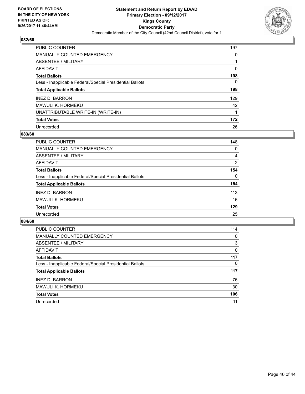

| <b>PUBLIC COUNTER</b>                                    | 197 |
|----------------------------------------------------------|-----|
| MANUALLY COUNTED EMERGENCY                               | 0   |
| ABSENTEE / MILITARY                                      |     |
| AFFIDAVIT                                                | 0   |
| <b>Total Ballots</b>                                     | 198 |
| Less - Inapplicable Federal/Special Presidential Ballots | 0   |
| <b>Total Applicable Ballots</b>                          | 198 |
| <b>INEZ D. BARRON</b>                                    | 129 |
| MAWULI K. HORMEKU                                        | 42  |
| UNATTRIBUTABLE WRITE-IN (WRITE-IN)                       |     |
| <b>Total Votes</b>                                       | 172 |
| Unrecorded                                               | 26  |

## **083/60**

| PUBLIC COUNTER                                           | 148      |
|----------------------------------------------------------|----------|
| <b>MANUALLY COUNTED EMERGENCY</b>                        | 0        |
| ABSENTEE / MILITARY                                      | 4        |
| AFFIDAVIT                                                | 2        |
| <b>Total Ballots</b>                                     | 154      |
| Less - Inapplicable Federal/Special Presidential Ballots | $\Omega$ |
| <b>Total Applicable Ballots</b>                          | 154      |
| <b>INEZ D. BARRON</b>                                    | 113      |
| <b>MAWULI K. HORMEKU</b>                                 | 16       |
| <b>Total Votes</b>                                       | 129      |
| Unrecorded                                               | 25       |

| <b>PUBLIC COUNTER</b>                                    | 114 |
|----------------------------------------------------------|-----|
| MANUALLY COUNTED EMERGENCY                               | 0   |
| ABSENTEE / MILITARY                                      | 3   |
| AFFIDAVIT                                                | 0   |
| <b>Total Ballots</b>                                     | 117 |
| Less - Inapplicable Federal/Special Presidential Ballots | 0   |
| <b>Total Applicable Ballots</b>                          | 117 |
| <b>INEZ D. BARRON</b>                                    | 76  |
| <b>MAWULI K. HORMEKU</b>                                 | 30  |
| <b>Total Votes</b>                                       | 106 |
| Unrecorded                                               | 11  |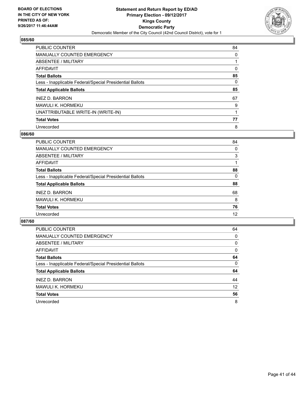

| PUBLIC COUNTER                                           | 84 |
|----------------------------------------------------------|----|
| <b>MANUALLY COUNTED EMERGENCY</b>                        | 0  |
| ABSENTEE / MILITARY                                      |    |
| AFFIDAVIT                                                | 0  |
| <b>Total Ballots</b>                                     | 85 |
| Less - Inapplicable Federal/Special Presidential Ballots | 0  |
| <b>Total Applicable Ballots</b>                          | 85 |
| <b>INEZ D. BARRON</b>                                    | 67 |
| MAWULI K. HORMEKU                                        | 9  |
| UNATTRIBUTABLE WRITE-IN (WRITE-IN)                       |    |
| <b>Total Votes</b>                                       | 77 |
| Unrecorded                                               | 8  |

## **086/60**

| PUBLIC COUNTER                                           | 84 |
|----------------------------------------------------------|----|
| <b>MANUALLY COUNTED EMERGENCY</b>                        | 0  |
| ABSENTEE / MILITARY                                      | 3  |
| AFFIDAVIT                                                |    |
| <b>Total Ballots</b>                                     | 88 |
| Less - Inapplicable Federal/Special Presidential Ballots | 0  |
| <b>Total Applicable Ballots</b>                          | 88 |
| <b>INEZ D. BARRON</b>                                    | 68 |
| MAWULI K. HORMEKU                                        | 8  |
| <b>Total Votes</b>                                       | 76 |
| Unrecorded                                               | 12 |

| PUBLIC COUNTER                                           | 64 |
|----------------------------------------------------------|----|
| <b>MANUALLY COUNTED EMERGENCY</b>                        | 0  |
| ABSENTEE / MILITARY                                      | 0  |
| AFFIDAVIT                                                | 0  |
| <b>Total Ballots</b>                                     | 64 |
| Less - Inapplicable Federal/Special Presidential Ballots | 0  |
| <b>Total Applicable Ballots</b>                          | 64 |
| <b>INEZ D. BARRON</b>                                    | 44 |
| MAWULI K. HORMEKU                                        | 12 |
| <b>Total Votes</b>                                       | 56 |
| Unrecorded                                               | 8  |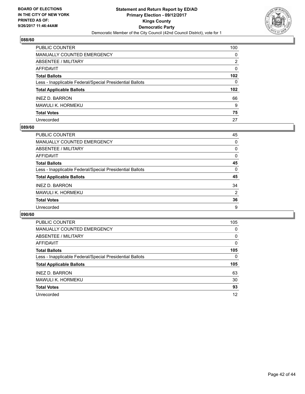

| <b>PUBLIC COUNTER</b>                                    | 100              |
|----------------------------------------------------------|------------------|
| <b>MANUALLY COUNTED EMERGENCY</b>                        | 0                |
| ABSENTEE / MILITARY                                      | 2                |
| <b>AFFIDAVIT</b>                                         | 0                |
| <b>Total Ballots</b>                                     | 102              |
| Less - Inapplicable Federal/Special Presidential Ballots | $\mathbf{0}$     |
| <b>Total Applicable Ballots</b>                          | 102 <sub>2</sub> |
| <b>INEZ D. BARRON</b>                                    | 66               |
| MAWULI K. HORMEKU                                        | 9                |
| <b>Total Votes</b>                                       | 75               |
| Unrecorded                                               | 27               |

## **089/60**

| <b>PUBLIC COUNTER</b>                                    | 45             |
|----------------------------------------------------------|----------------|
| MANUALLY COUNTED EMERGENCY                               | 0              |
| ABSENTEE / MILITARY                                      | 0              |
| AFFIDAVIT                                                | 0              |
| <b>Total Ballots</b>                                     | 45             |
| Less - Inapplicable Federal/Special Presidential Ballots | 0              |
| <b>Total Applicable Ballots</b>                          | 45             |
| <b>INEZ D. BARRON</b>                                    | 34             |
| <b>MAWULI K. HORMEKU</b>                                 | $\overline{2}$ |
| <b>Total Votes</b>                                       | 36             |
| Unrecorded                                               | 9              |

| <b>PUBLIC COUNTER</b>                                    | 105 |
|----------------------------------------------------------|-----|
| <b>MANUALLY COUNTED EMERGENCY</b>                        | 0   |
| ABSENTEE / MILITARY                                      | 0   |
| <b>AFFIDAVIT</b>                                         | 0   |
| <b>Total Ballots</b>                                     | 105 |
| Less - Inapplicable Federal/Special Presidential Ballots | 0   |
| <b>Total Applicable Ballots</b>                          | 105 |
| <b>INEZ D. BARRON</b>                                    | 63  |
| MAWULI K. HORMEKU                                        | 30  |
| <b>Total Votes</b>                                       | 93  |
| Unrecorded                                               |     |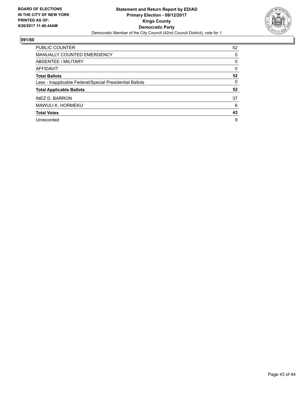

| <b>PUBLIC COUNTER</b>                                    | 52 |
|----------------------------------------------------------|----|
| <b>MANUALLY COUNTED EMERGENCY</b>                        | 0  |
| ABSENTEE / MILITARY                                      | 0  |
| <b>AFFIDAVIT</b>                                         | 0  |
| <b>Total Ballots</b>                                     | 52 |
| Less - Inapplicable Federal/Special Presidential Ballots | 0  |
| <b>Total Applicable Ballots</b>                          | 52 |
| <b>INEZ D. BARRON</b>                                    | 37 |
| <b>MAWULI K. HORMEKU</b>                                 | 6  |
| <b>Total Votes</b>                                       | 43 |
| Unrecorded                                               | 9  |